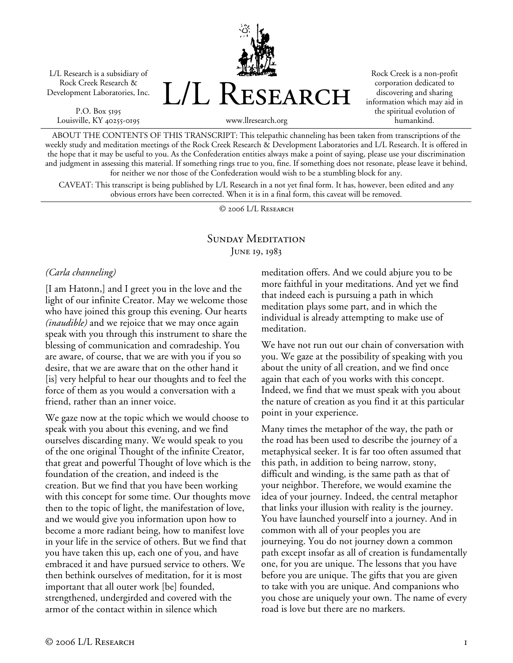L/L Research is a subsidiary of Rock Creek Research & Development Laboratories, Inc.

P.O. Box 5195 Louisville, KY 40255-0195 L/L Research

Rock Creek is a non-profit corporation dedicated to discovering and sharing information which may aid in the spiritual evolution of humankind.

www.llresearch.org

ABOUT THE CONTENTS OF THIS TRANSCRIPT: This telepathic channeling has been taken from transcriptions of the weekly study and meditation meetings of the Rock Creek Research & Development Laboratories and L/L Research. It is offered in the hope that it may be useful to you. As the Confederation entities always make a point of saying, please use your discrimination and judgment in assessing this material. If something rings true to you, fine. If something does not resonate, please leave it behind, for neither we nor those of the Confederation would wish to be a stumbling block for any.

CAVEAT: This transcript is being published by L/L Research in a not yet final form. It has, however, been edited and any obvious errors have been corrected. When it is in a final form, this caveat will be removed.

© 2006 L/L Research

## SUNDAY MEDITATION JUNE 19, 1983

## *(Carla channeling)*

[I am Hatonn,] and I greet you in the love and the light of our infinite Creator. May we welcome those who have joined this group this evening. Our hearts *(inaudible)* and we rejoice that we may once again speak with you through this instrument to share the blessing of communication and comradeship. You are aware, of course, that we are with you if you so desire, that we are aware that on the other hand it [is] very helpful to hear our thoughts and to feel the force of them as you would a conversation with a friend, rather than an inner voice.

We gaze now at the topic which we would choose to speak with you about this evening, and we find ourselves discarding many. We would speak to you of the one original Thought of the infinite Creator, that great and powerful Thought of love which is the foundation of the creation, and indeed is the creation. But we find that you have been working with this concept for some time. Our thoughts move then to the topic of light, the manifestation of love, and we would give you information upon how to become a more radiant being, how to manifest love in your life in the service of others. But we find that you have taken this up, each one of you, and have embraced it and have pursued service to others. We then bethink ourselves of meditation, for it is most important that all outer work [be] founded, strengthened, undergirded and covered with the armor of the contact within in silence which

meditation offers. And we could abjure you to be more faithful in your meditations. And yet we find that indeed each is pursuing a path in which meditation plays some part, and in which the individual is already attempting to make use of meditation.

We have not run out our chain of conversation with you. We gaze at the possibility of speaking with you about the unity of all creation, and we find once again that each of you works with this concept. Indeed, we find that we must speak with you about the nature of creation as you find it at this particular point in your experience.

Many times the metaphor of the way, the path or the road has been used to describe the journey of a metaphysical seeker. It is far too often assumed that this path, in addition to being narrow, stony, difficult and winding, is the same path as that of your neighbor. Therefore, we would examine the idea of your journey. Indeed, the central metaphor that links your illusion with reality is the journey. You have launched yourself into a journey. And in common with all of your peoples you are journeying. You do not journey down a common path except insofar as all of creation is fundamentally one, for you are unique. The lessons that you have before you are unique. The gifts that you are given to take with you are unique. And companions who you chose are uniquely your own. The name of every road is love but there are no markers.